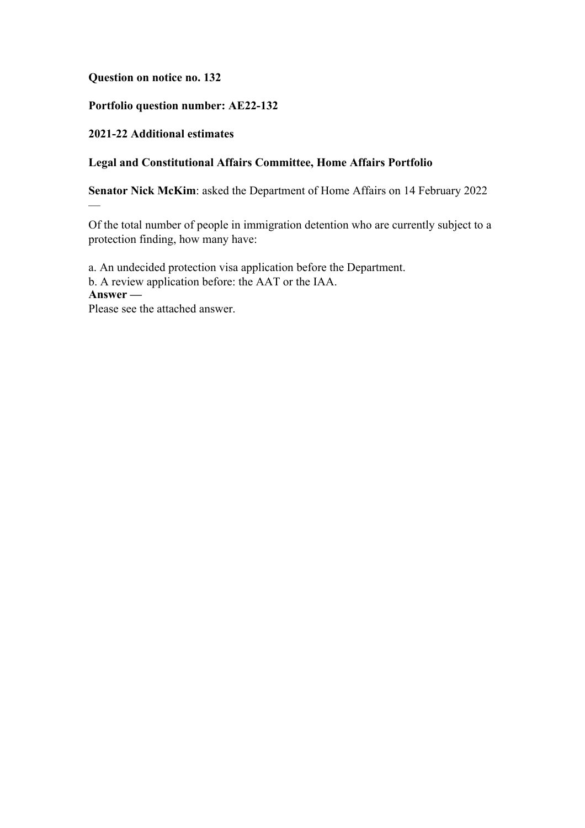# **Question on notice no. 132**

# **Portfolio question number: AE22-132**

# **2021-22 Additional estimates**

—

# **Legal and Constitutional Affairs Committee, Home Affairs Portfolio**

**Senator Nick McKim**: asked the Department of Home Affairs on 14 February 2022

Of the total number of people in immigration detention who are currently subject to a protection finding, how many have:

a. An undecided protection visa application before the Department. b. A review application before: the AAT or the IAA. **Answer —** Please see the attached answer.